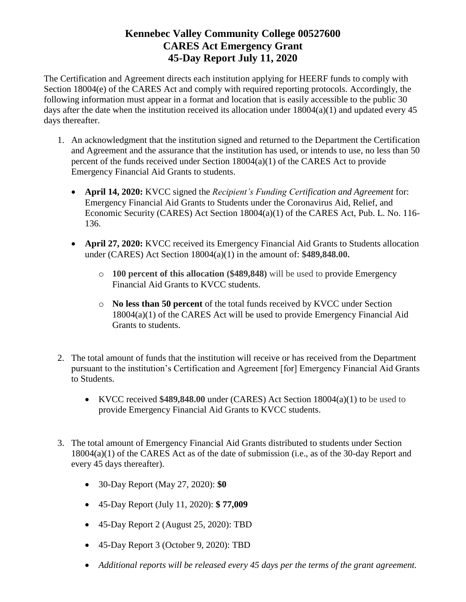The Certification and Agreement directs each institution applying for HEERF funds to comply with Section 18004(e) of the CARES Act and comply with required reporting protocols. Accordingly, the following information must appear in a format and location that is easily accessible to the public 30 days after the date when the institution received its allocation under  $18004(a)(1)$  and updated every 45 days thereafter.

- 1. An acknowledgment that the institution signed and returned to the Department the Certification and Agreement and the assurance that the institution has used, or intends to use, no less than 50 percent of the funds received under Section  $18004(a)(1)$  of the CARES Act to provide Emergency Financial Aid Grants to students.
	- **April 14, 2020:** KVCC signed the *Recipient's Funding Certification and Agreement* for: Emergency Financial Aid Grants to Students under the Coronavirus Aid, Relief, and Economic Security (CARES) Act Section 18004(a)(1) of the CARES Act, Pub. L. No. 116- 136.
	- **April 27, 2020:** KVCC received its Emergency Financial Aid Grants to Students allocation under (CARES) Act Section 18004(a)(1) in the amount of: **\$489,848.00.** 
		- o **100 percent of this allocation (\$489,848)** will be used to provide Emergency Financial Aid Grants to KVCC students.
		- o **No less than 50 percent** of the total funds received by KVCC under Section 18004(a)(1) of the CARES Act will be used to provide Emergency Financial Aid Grants to students.
- 2. The total amount of funds that the institution will receive or has received from the Department pursuant to the institution's Certification and Agreement [for] Emergency Financial Aid Grants to Students.
	- KVCC received **\$489,848.00** under (CARES) Act Section 18004(a)(1) to be used to provide Emergency Financial Aid Grants to KVCC students.
- 3. The total amount of Emergency Financial Aid Grants distributed to students under Section 18004(a)(1) of the CARES Act as of the date of submission (i.e., as of the 30-day Report and every 45 days thereafter).
	- 30-Day Report (May 27, 2020): **\$0**
	- 45-Day Report (July 11, 2020): **\$ 77,009**
	- 45-Day Report 2 (August 25, 2020): TBD
	- 45-Day Report 3 (October 9, 2020): TBD
	- *Additional reports will be released every 45 days per the terms of the grant agreement.*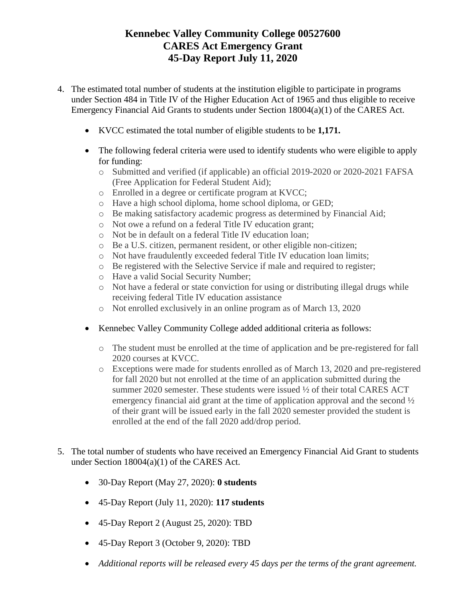- 4. The estimated total number of students at the institution eligible to participate in programs under Section 484 in Title IV of the Higher Education Act of 1965 and thus eligible to receive Emergency Financial Aid Grants to students under Section 18004(a)(1) of the CARES Act.
	- KVCC estimated the total number of eligible students to be **1,171.**
	- The following federal criteria were used to identify students who were eligible to apply for funding:
		- o Submitted and verified (if applicable) an official 2019-2020 or 2020-2021 FAFSA (Free Application for Federal Student Aid);
		- o Enrolled in a degree or certificate program at KVCC;
		- o Have a high school diploma, home school diploma, or GED;
		- o Be making satisfactory academic progress as determined by Financial Aid;
		- o Not owe a refund on a federal Title IV education grant;
		- o Not be in default on a federal Title IV education loan;
		- o Be a U.S. citizen, permanent resident, or other eligible non-citizen;
		- o Not have fraudulently exceeded federal Title IV education loan limits;
		- o Be registered with the Selective Service if male and required to register;
		- o Have a valid Social Security Number;
		- o Not have a federal or state conviction for using or distributing illegal drugs while receiving federal Title IV education assistance
		- o Not enrolled exclusively in an online program as of March 13, 2020
	- Kennebec Valley Community College added additional criteria as follows:
		- o The student must be enrolled at the time of application and be pre-registered for fall 2020 courses at KVCC.
		- o Exceptions were made for students enrolled as of March 13, 2020 and pre-registered for fall 2020 but not enrolled at the time of an application submitted during the summer 2020 semester. These students were issued  $\frac{1}{2}$  of their total CARES ACT emergency financial aid grant at the time of application approval and the second  $\frac{1}{2}$ of their grant will be issued early in the fall 2020 semester provided the student is enrolled at the end of the fall 2020 add/drop period.
- 5. The total number of students who have received an Emergency Financial Aid Grant to students under Section 18004(a)(1) of the CARES Act.
	- 30-Day Report (May 27, 2020): **0 students**
	- 45-Day Report (July 11, 2020): **117 students**
	- 45-Day Report 2 (August 25, 2020): TBD
	- 45-Day Report 3 (October 9, 2020): TBD
	- *Additional reports will be released every 45 days per the terms of the grant agreement.*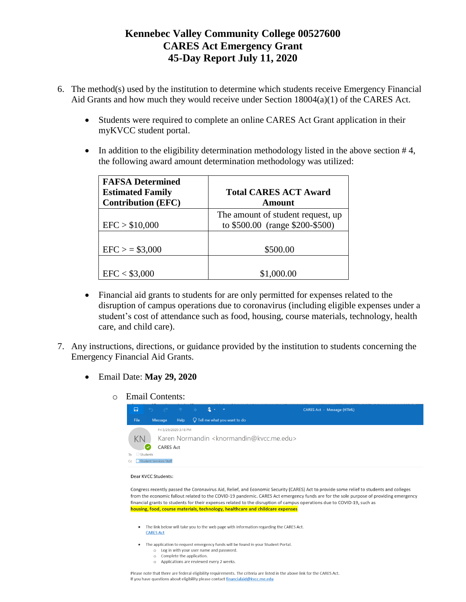- 6. The method(s) used by the institution to determine which students receive Emergency Financial Aid Grants and how much they would receive under Section 18004(a)(1) of the CARES Act.
	- Students were required to complete an online CARES Act Grant application in their myKVCC student portal.
	- In addition to the eligibility determination methodology listed in the above section  $#4$ , the following award amount determination methodology was utilized:

| <b>FAFSA Determined</b><br><b>Estimated Family</b><br><b>Contribution (EFC)</b> | <b>Total CARES ACT Award</b><br>Amount                               |
|---------------------------------------------------------------------------------|----------------------------------------------------------------------|
| EFC > \$10,000                                                                  | The amount of student request, up<br>to \$500.00 (range \$200-\$500) |
| $EFC$ > = \$3,000                                                               | \$500.00                                                             |
| EFC < \$3,000                                                                   | \$1,000.00                                                           |

- Financial aid grants to students for are only permitted for expenses related to the disruption of campus operations due to coronavirus (including eligible expenses under a student's cost of attendance such as food, housing, course materials, technology, health care, and child care).
- 7. Any instructions, directions, or guidance provided by the institution to students concerning the Emergency Financial Aid Grants.
	- Email Date: **May 29, 2020**
		- o Email Contents:



### Dear KVCC Students:

Congress recently passed the Coronavirus Aid, Relief, and Economic Security (CARES) Act to provide some relief to students and colleges from the economic fallout related to the COVID-19 pandemic. CARES Act emergency funds are for the sole purpose of providing emergency financial grants to students for their expenses related to the disruption of campus operations due to COVID-19, such as housing, food, course materials, technology, healthcare and childcare expenses

- . The link below will take you to the web page with information regarding the CARES Act. **CARES Act**
- The application to request emergency funds will be found in your Student Portal.
	- o Log in with your user name and password. o Complete the application.
	- o Applications are reviewed every 2 weeks.

Please note that there are federal eligibility requirements. The criteria are listed in the above link for the CARES Act. If you have questions about eligibility please contact financialaid@kvcc.me.edu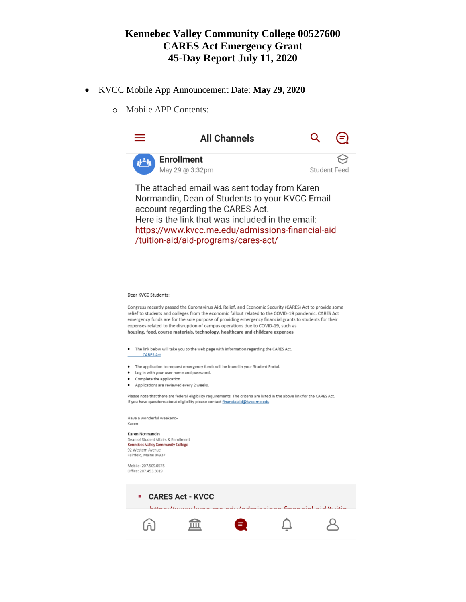- KVCC Mobile App Announcement Date: **May 29, 2020**
	- o Mobile APP Contents:



Here is the link that was included in the email: https://www.kvcc.me.edu/admissions-financial-aid /tuition-aid/aid-programs/cares-act/

#### Dear KVCC Students:

Congress recently passed the Coronavirus Aid, Relief, and Economic Security (CARES) Act to provide some relief to students and colleges from the economic fallout related to the COVID-19 pandemic. CARES Act emergency funds are for the sole purpose of providing emergency financial grants to students for their expenses related to the disruption of campus operations due to COVID-19, such as housing, food, course materials, technology, healthcare and childcare expenses

- The link below will take you to the web page with information regarding the CARES Act.
- **CARES Act**
- The application to request emergency funds will be found in your Student Portal.
- Log in with your user name and password.
- Complete the application.
- Applications are reviewed every 2 weeks.

Please note that there are federal eligibility requirements. The criteria are listed in the above link for the CARES Act. If you have questions about eligibility please contact financialaid@kvcc.me.edu

Have a wonderful weekend-Karen

### Karen Normandin

Dean of Student Affairs & Enrollment Kennebec Valley Community College 92 Western Avenue Fairfield, Maine 04937

Mobile: 207.509.0575 Office: 207.453.5019

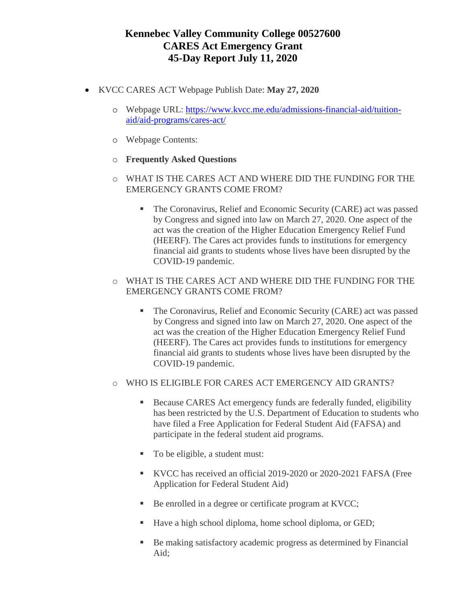- KVCC CARES ACT Webpage Publish Date: **May 27, 2020**
	- o Webpage URL: [https://www.kvcc.me.edu/admissions-financial-aid/tuition](https://www.kvcc.me.edu/admissions-financial-aid/tuition-aid/aid-programs/cares-act/)[aid/aid-programs/cares-act/](https://www.kvcc.me.edu/admissions-financial-aid/tuition-aid/aid-programs/cares-act/)
	- o Webpage Contents:
	- o **Frequently Asked Questions**
	- o WHAT IS THE CARES ACT AND WHERE DID THE FUNDING FOR THE EMERGENCY GRANTS COME FROM?
		- **The Coronavirus, Relief and Economic Security (CARE) act was passed** by Congress and signed into law on March 27, 2020. One aspect of the act was the creation of the Higher Education Emergency Relief Fund (HEERF). The Cares act provides funds to institutions for emergency financial aid grants to students whose lives have been disrupted by the COVID-19 pandemic.
	- o WHAT IS THE CARES ACT AND WHERE DID THE FUNDING FOR THE EMERGENCY GRANTS COME FROM?
		- The Coronavirus, Relief and Economic Security (CARE) act was passed by Congress and signed into law on March 27, 2020. One aspect of the act was the creation of the Higher Education Emergency Relief Fund (HEERF). The Cares act provides funds to institutions for emergency financial aid grants to students whose lives have been disrupted by the COVID-19 pandemic.
	- o WHO IS ELIGIBLE FOR CARES ACT EMERGENCY AID GRANTS?
		- Because CARES Act emergency funds are federally funded, eligibility has been restricted by the U.S. Department of Education to students who have filed a Free Application for Federal Student Aid (FAFSA) and participate in the federal student aid programs.
		- To be eligible, a student must:
		- KVCC has received an official 2019-2020 or 2020-2021 FAFSA (Free Application for Federal Student Aid)
		- Be enrolled in a degree or certificate program at KVCC;
		- Have a high school diploma, home school diploma, or GED;
		- Be making satisfactory academic progress as determined by Financial Aid;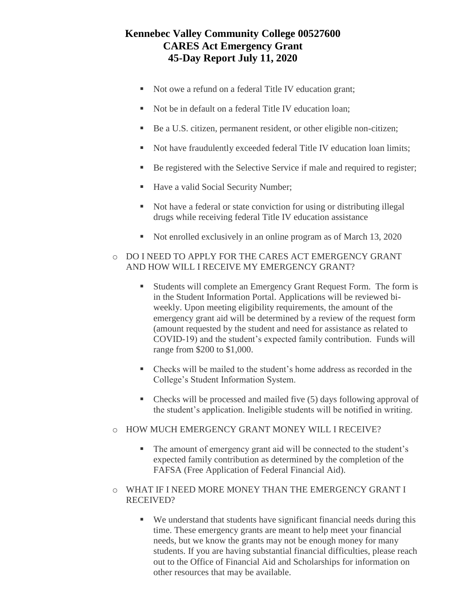- Not owe a refund on a federal Title IV education grant;
- Not be in default on a federal Title IV education loan;
- Be a U.S. citizen, permanent resident, or other eligible non-citizen;
- Not have fraudulently exceeded federal Title IV education loan limits;
- Be registered with the Selective Service if male and required to register;
- Have a valid Social Security Number;
- Not have a federal or state conviction for using or distributing illegal drugs while receiving federal Title IV education assistance
- Not enrolled exclusively in an online program as of March 13, 2020
- o DO I NEED TO APPLY FOR THE CARES ACT EMERGENCY GRANT AND HOW WILL I RECEIVE MY EMERGENCY GRANT?
	- Students will complete an Emergency Grant Request Form. The form is in the [Student Information Portal.](http://my.kvcc.me.edu/) Applications will be reviewed biweekly. Upon meeting eligibility requirements, the amount of the emergency grant aid will be determined by a review of the request form (amount requested by the student and need for assistance as related to COVID-19) and the student's expected family contribution. Funds will range from \$200 to \$1,000.
	- Checks will be mailed to the student's home address as recorded in the College's Student Information System.
	- Checks will be processed and mailed five (5) days following approval of the student's application. Ineligible students will be notified in writing.
- o HOW MUCH EMERGENCY GRANT MONEY WILL I RECEIVE?
	- The amount of emergency grant aid will be connected to the student's expected family contribution as determined by the completion of the FAFSA (Free Application of Federal Financial Aid).
- o WHAT IF I NEED MORE MONEY THAN THE EMERGENCY GRANT I RECEIVED?
	- We understand that students have significant financial needs during this time. These emergency grants are meant to help meet your financial needs, but we know the grants may not be enough money for many students. If you are having substantial financial difficulties, please reach out to the Office of Financial Aid and Scholarships for information on other resources that may be available.